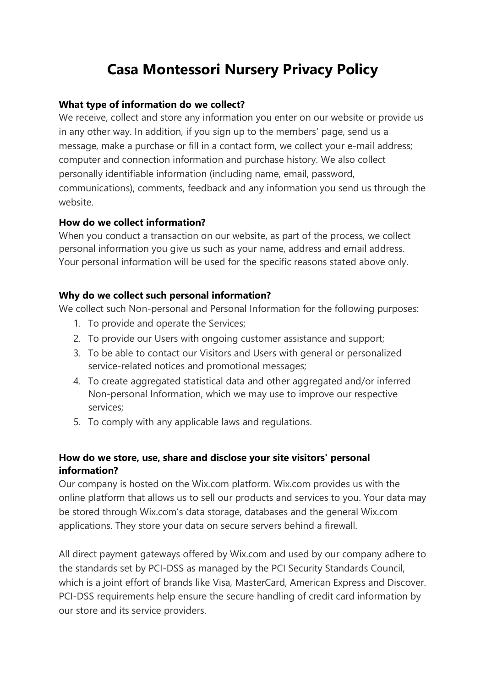# **Casa Montessori Nursery Privacy Policy**

### **What type of information do we collect?**

We receive, collect and store any information you enter on our website or provide us in any other way. In addition, if you sign up to the members' page, send us a message, make a purchase or fill in a contact form, we collect your e-mail address; computer and connection information and purchase history. We also collect personally identifiable information (including name, email, password, communications), comments, feedback and any information you send us through the website.

#### **How do we collect information?**

When you conduct a transaction on our website, as part of the process, we collect personal information you give us such as your name, address and email address. Your personal information will be used for the specific reasons stated above only.

# **Why do we collect such personal information?**

We collect such Non-personal and Personal Information for the following purposes:

- 1. To provide and operate the Services;
- 2. To provide our Users with ongoing customer assistance and support;
- 3. To be able to contact our Visitors and Users with general or personalized service-related notices and promotional messages;
- 4. To create aggregated statistical data and other aggregated and/or inferred Non-personal Information, which we may use to improve our respective services;
- 5. To comply with any applicable laws and regulations.

# **How do we store, use, share and disclose your site visitors' personal information?**

Our company is hosted on the Wix.com platform. Wix.com provides us with the online platform that allows us to sell our products and services to you. Your data may be stored through Wix.com's data storage, databases and the general Wix.com applications. They store your data on secure servers behind a firewall.

All direct payment gateways offered by Wix.com and used by our company adhere to the standards set by PCI-DSS as managed by the PCI Security Standards Council, which is a joint effort of brands like Visa, MasterCard, American Express and Discover. PCI-DSS requirements help ensure the secure handling of credit card information by our store and its service providers.